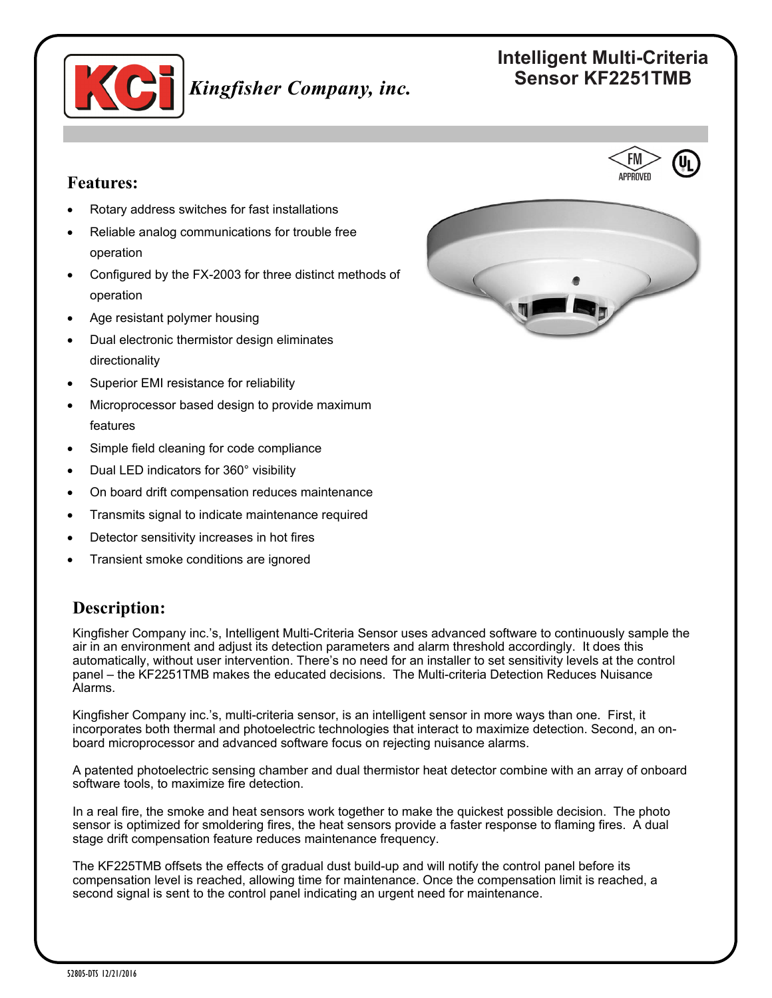

# **Intelligent Multi-Criteria Sensor KF2251TMB** *Kingfisher Company, inc.*

## **Features:**

- Rotary address switches for fast installations
- Reliable analog communications for trouble free operation
- Configured by the FX-2003 for three distinct methods of operation
- Age resistant polymer housing
- Dual electronic thermistor design eliminates directionality
- Superior EMI resistance for reliability
- Microprocessor based design to provide maximum features
- Simple field cleaning for code compliance
- Dual LED indicators for 360° visibility
- On board drift compensation reduces maintenance
- Transmits signal to indicate maintenance required
- Detector sensitivity increases in hot fires
- Transient smoke conditions are ignored

### **Description:**

Kingfisher Company inc.'s, Intelligent Multi-Criteria Sensor uses advanced software to continuously sample the air in an environment and adjust its detection parameters and alarm threshold accordingly. It does this automatically, without user intervention. There's no need for an installer to set sensitivity levels at the control panel – the KF2251TMB makes the educated decisions. The Multi-criteria Detection Reduces Nuisance Alarms.

Kingfisher Company inc.'s, multi-criteria sensor, is an intelligent sensor in more ways than one. First, it incorporates both thermal and photoelectric technologies that interact to maximize detection. Second, an onboard microprocessor and advanced software focus on rejecting nuisance alarms.

A patented photoelectric sensing chamber and dual thermistor heat detector combine with an array of onboard software tools, to maximize fire detection.

In a real fire, the smoke and heat sensors work together to make the quickest possible decision. The photo sensor is optimized for smoldering fires, the heat sensors provide a faster response to flaming fires. A dual stage drift compensation feature reduces maintenance frequency.

The KF225TMB offsets the effects of gradual dust build-up and will notify the control panel before its compensation level is reached, allowing time for maintenance. Once the compensation limit is reached, a second signal is sent to the control panel indicating an urgent need for maintenance.

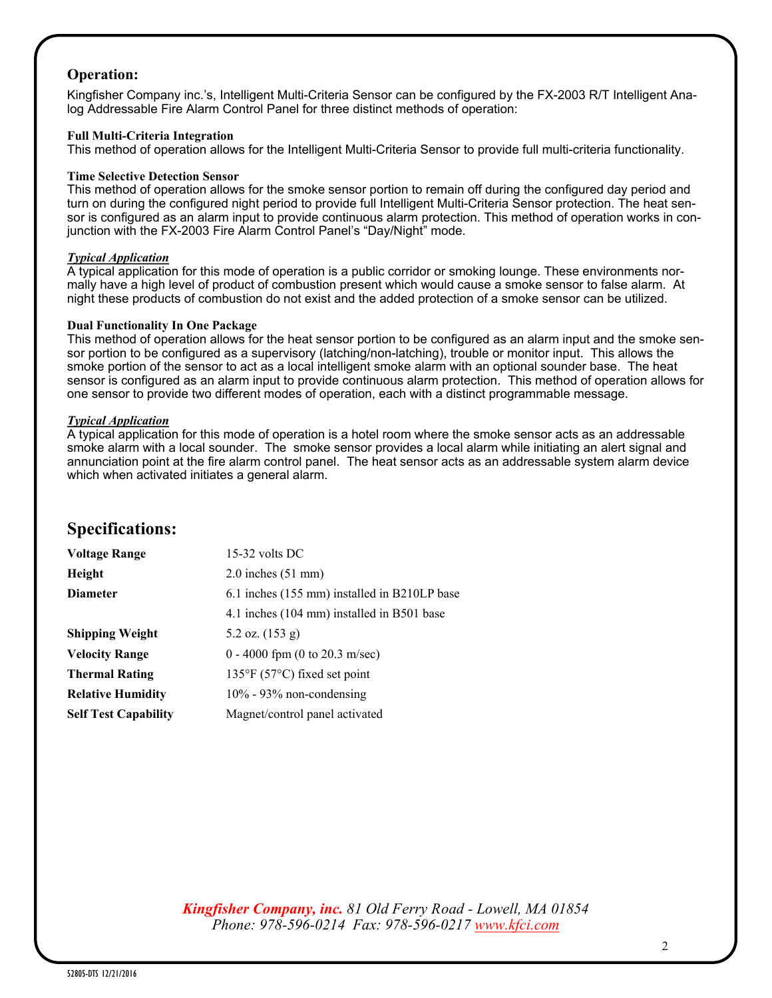### **Operation:**

Kingfisher Company inc.'s, Intelligent Multi-Criteria Sensor can be configured by the FX-2003 R/T Intelligent Analog Addressable Fire Alarm Control Panel for three distinct methods of operation:

#### **Full Multi-Criteria Integration**

This method of operation allows for the Intelligent Multi-Criteria Sensor to provide full multi-criteria functionality.

#### **Time Selective Detection Sensor**

This method of operation allows for the smoke sensor portion to remain off during the configured day period and turn on during the configured night period to provide full Intelligent Multi-Criteria Sensor protection. The heat sensor is configured as an alarm input to provide continuous alarm protection. This method of operation works in conjunction with the FX-2003 Fire Alarm Control Panel's "Day/Night" mode.

#### *Typical Application*

A typical application for this mode of operation is a public corridor or smoking lounge. These environments normally have a high level of product of combustion present which would cause a smoke sensor to false alarm. At night these products of combustion do not exist and the added protection of a smoke sensor can be utilized.

#### **Dual Functionality In One Package**

This method of operation allows for the heat sensor portion to be configured as an alarm input and the smoke sensor portion to be configured as a supervisory (latching/non-latching), trouble or monitor input. This allows the smoke portion of the sensor to act as a local intelligent smoke alarm with an optional sounder base. The heat sensor is configured as an alarm input to provide continuous alarm protection. This method of operation allows for one sensor to provide two different modes of operation, each with a distinct programmable message.

#### *Typical Application*

A typical application for this mode of operation is a hotel room where the smoke sensor acts as an addressable smoke alarm with a local sounder. The smoke sensor provides a local alarm while initiating an alert signal and annunciation point at the fire alarm control panel. The heat sensor acts as an addressable system alarm device which when activated initiates a general alarm.

### **Specifications:**

| <b>Voltage Range</b>        | $15-32$ volts DC                                  |
|-----------------------------|---------------------------------------------------|
| Height                      | $2.0$ inches $(51$ mm)                            |
| <b>Diameter</b>             | 6.1 inches (155 mm) installed in B210LP base      |
|                             | 4.1 inches (104 mm) installed in B501 base        |
| <b>Shipping Weight</b>      | 5.2 oz. $(153 g)$                                 |
| <b>Velocity Range</b>       | $0 - 4000$ fpm (0 to 20.3 m/sec)                  |
| <b>Thermal Rating</b>       | $135^{\circ}$ F (57 $^{\circ}$ C) fixed set point |
| <b>Relative Humidity</b>    | $10\%$ - 93% non-condensing                       |
| <b>Self Test Capability</b> | Magnet/control panel activated                    |

*Kingfisher Company, inc. 81 Old Ferry Road - Lowell, MA 01854 Phone: 978-596-0214 Fax: 978-596-0217 [www.kfci.com](http://www.kfci.com/)*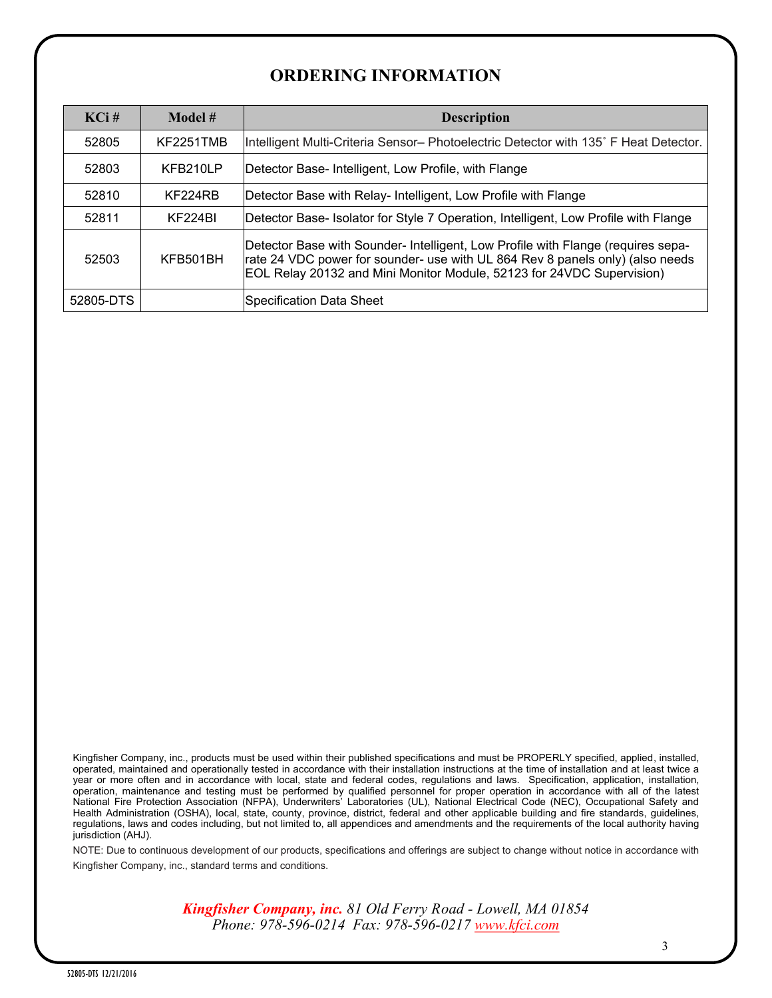# **ORDERING INFORMATION**

| $KCi$ #   | Model #   | <b>Description</b>                                                                                                                                                                                                                         |
|-----------|-----------|--------------------------------------------------------------------------------------------------------------------------------------------------------------------------------------------------------------------------------------------|
| 52805     | KF2251TMB | Intelligent Multi-Criteria Sensor- Photoelectric Detector with 135° F Heat Detector.                                                                                                                                                       |
| 52803     | KFB210LP  | Detector Base-Intelligent, Low Profile, with Flange                                                                                                                                                                                        |
| 52810     | KF224RB   | Detector Base with Relay- Intelligent, Low Profile with Flange                                                                                                                                                                             |
| 52811     | KF224BI   | Detector Base- Isolator for Style 7 Operation, Intelligent, Low Profile with Flange                                                                                                                                                        |
| 52503     | KFB501BH  | Detector Base with Sounder- Intelligent, Low Profile with Flange (requires sepa-<br>rate 24 VDC power for sounder- use with UL 864 Rev 8 panels only) (also needs<br>EOL Relay 20132 and Mini Monitor Module, 52123 for 24VDC Supervision) |
| 52805-DTS |           | Specification Data Sheet                                                                                                                                                                                                                   |

Kingfisher Company, inc., products must be used within their published specifications and must be PROPERLY specified, applied, installed, operated, maintained and operationally tested in accordance with their installation instructions at the time of installation and at least twice a year or more often and in accordance with local, state and federal codes, regulations and laws. Specification, application, installation, operation, maintenance and testing must be performed by qualified personnel for proper operation in accordance with all of the latest National Fire Protection Association (NFPA), Underwriters' Laboratories (UL), National Electrical Code (NEC), Occupational Safety and Health Administration (OSHA), local, state, county, province, district, federal and other applicable building and fire standards, guidelines, regulations, laws and codes including, but not limited to, all appendices and amendments and the requirements of the local authority having jurisdiction (AHJ).

NOTE: Due to continuous development of our products, specifications and offerings are subject to change without notice in accordance with Kingfisher Company, inc., standard terms and conditions.

> *Kingfisher Company, inc. 81 Old Ferry Road - Lowell, MA 01854 Phone: 978-596-0214 Fax: 978-596-0217 [www.kfci.com](http://www.kfci.com/)*